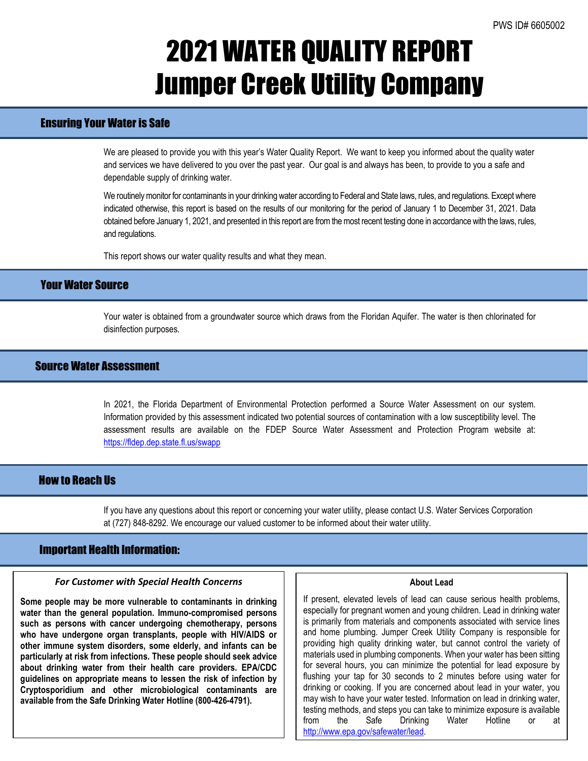## 2021 WATER QUALITY REPORT Jumper Creek Utility Company

## Ensuring Your Water is Safe

We are pleased to provide you with this year's Water Quality Report. We want to keep you informed about the quality water and services we have delivered to you over the past year. Our goal is and always has been, to provide to you a safe and dependable supply of drinking water.

We routinely monitor for contaminants in your drinking water according to Federal and State laws, rules, and regulations. Except where indicated otherwise, this report is based on the results of our monitoring for the period of January 1 to December 31, 2021. Data obtained before January 1, 2021, and presented in this report are from the most recent testing done in accordance with the laws, rules, and regulations.

This report shows our water quality results and what they mean.

## Your Water Source

Your water is obtained from a groundwater source which draws from the Floridan Aquifer. The water is then chlorinated for disinfection purposes.

## Source Water Assessment

In 2021, the Florida Department of Environmental Protection performed a Source Water Assessment on our system. Information provided by this assessment indicated two potential sources of contamination with a low susceptibility level. The assessment results are available on the FDEP Source Water Assessment and Protection Program website at: <https://fldep.dep.state.fl.us/swapp>

## How to Reach Us

If you have any questions about this report or concerning your water utility, please contact U.S. Water Services Corporation at (727) 848-8292. We encourage our valued customer to be informed about their water utility.

### Important Health Information:

l

### *For Customer with Special Health Concerns*

**Some people may be more vulnerable to contaminants in drinking water than the general population. Immuno-compromised persons such as persons with cancer undergoing chemotherapy, persons who have undergone organ transplants, people with HIV/AIDS or other immune system disorders, some elderly, and infants can be particularly at risk from infections. These people should seek advice about drinking water from their health care providers. EPA/CDC guidelines on appropriate means to lessen the risk of infection by Cryptosporidium and other microbiological contaminants are available from the Safe Drinking Water Hotline (800-426-4791).**

#### **About Lead**

If present, elevated levels of lead can cause serious health problems, especially for pregnant women and young children. Lead in drinking water is primarily from materials and components associated with service lines and home plumbing. Jumper Creek Utility Company is responsible for providing high quality drinking water, but cannot control the variety of materials used in plumbing components. When your water has been sitting for several hours, you can minimize the potential for lead exposure by flushing your tap for 30 seconds to 2 minutes before using water for drinking or cooking. If you are concerned about lead in your water, you may wish to have your water tested. Information on lead in drinking water, testing methods, and steps you can take to minimize exposure is available from the Safe Drinking Water Hotline or at [http://www.epa.gov/safewater/lead.](http://www.epa.gov/safewater/lead)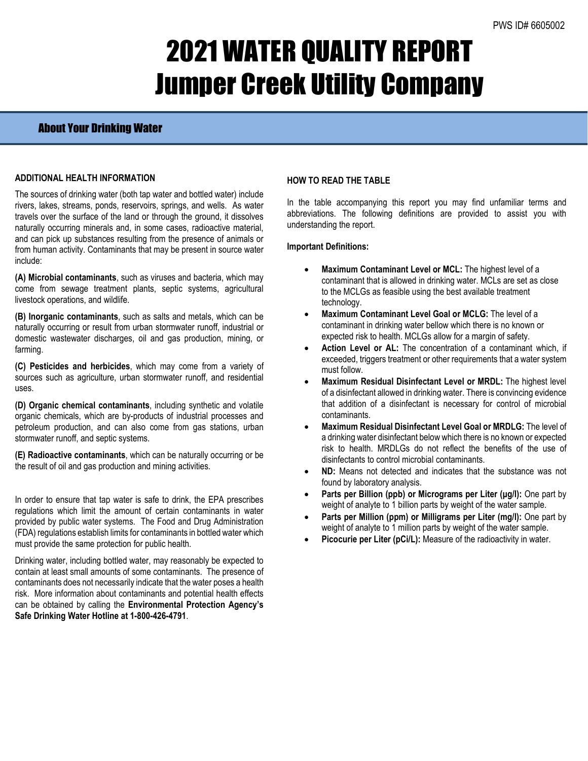## 2021 WATER QUALITY REPORT Jumper Creek Utility Company

### About Your Drinking Water

### **ADDITIONAL HEALTH INFORMATION**

The sources of drinking water (both tap water and bottled water) include rivers, lakes, streams, ponds, reservoirs, springs, and wells. As water travels over the surface of the land or through the ground, it dissolves naturally occurring minerals and, in some cases, radioactive material, and can pick up substances resulting from the presence of animals or from human activity. Contaminants that may be present in source water include:

**(A) Microbial contaminants**, such as viruses and bacteria, which may come from sewage treatment plants, septic systems, agricultural livestock operations, and wildlife.

**(B) Inorganic contaminants**, such as salts and metals, which can be naturally occurring or result from urban stormwater runoff, industrial or domestic wastewater discharges, oil and gas production, mining, or farming.

**(C) Pesticides and herbicides**, which may come from a variety of sources such as agriculture, urban stormwater runoff, and residential uses.

**(D) Organic chemical contaminants**, including synthetic and volatile organic chemicals, which are by-products of industrial processes and petroleum production, and can also come from gas stations, urban stormwater runoff, and septic systems.

**(E) Radioactive contaminants**, which can be naturally occurring or be the result of oil and gas production and mining activities.

In order to ensure that tap water is safe to drink, the EPA prescribes regulations which limit the amount of certain contaminants in water provided by public water systems. The Food and Drug Administration (FDA) regulations establish limits for contaminants in bottled water which must provide the same protection for public health.

Drinking water, including bottled water, may reasonably be expected to contain at least small amounts of some contaminants. The presence of contaminants does not necessarily indicate that the water poses a health risk. More information about contaminants and potential health effects can be obtained by calling the **Environmental Protection Agency's Safe Drinking Water Hotline at 1-800-426-4791**.

### **HOW TO READ THE TABLE**

In the table accompanying this report you may find unfamiliar terms and abbreviations. The following definitions are provided to assist you with understanding the report.

#### **Important Definitions:**

- **Maximum Contaminant Level or MCL:** The highest level of a contaminant that is allowed in drinking water. MCLs are set as close to the MCLGs as feasible using the best available treatment technology.
- **Maximum Contaminant Level Goal or MCLG:** The level of a contaminant in drinking water bellow which there is no known or expected risk to health. MCLGs allow for a margin of safety.
- Action Level or AL: The concentration of a contaminant which, if exceeded, triggers treatment or other requirements that a water system must follow.
- **Maximum Residual Disinfectant Level or MRDL:** The highest level of a disinfectant allowed in drinking water. There is convincing evidence that addition of a disinfectant is necessary for control of microbial contaminants.
- **Maximum Residual Disinfectant Level Goal or MRDLG:** The level of a drinking water disinfectant below which there is no known or expected risk to health. MRDLGs do not reflect the benefits of the use of disinfectants to control microbial contaminants.
- **ND:** Means not detected and indicates that the substance was not found by laboratory analysis.
- **Parts per Billion (ppb) or Micrograms per Liter (µg/l):** One part by weight of analyte to 1 billion parts by weight of the water sample.
- **Parts per Million (ppm) or Milligrams per Liter (mg/l):** One part by weight of analyte to 1 million parts by weight of the water sample.
- Picocurie per Liter (pCi/L): Measure of the radioactivity in water.